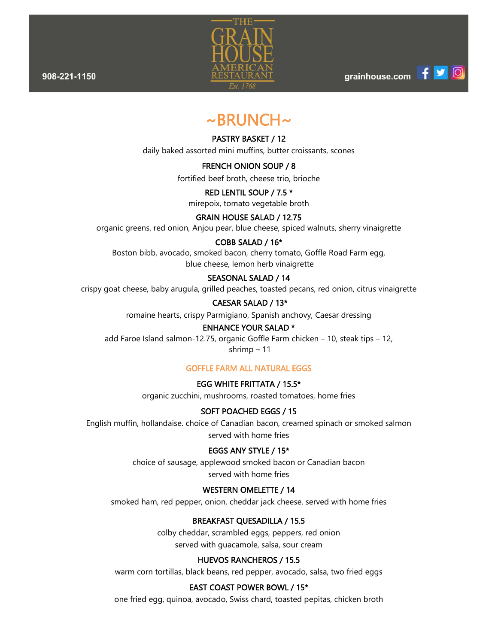908-221-1150



grainhouse.com

# $\sim$ BRUNCH $\sim$

## PASTRY BASKET / 12

daily baked assorted mini muffins, butter croissants, scones

## FRENCH ONION SOUP / 8

fortified beef broth, cheese trio, brioche

## RED LENTIL SOUP / 7.5 \*

mirepoix, tomato vegetable broth

## GRAIN HOUSE SALAD / 12.75

organic greens, red onion, Anjou pear, blue cheese, spiced walnuts, sherry vinaigrette

## COBB SALAD / 16\*

Boston bibb, avocado, smoked bacon, cherry tomato, Goffle Road Farm egg, blue cheese, lemon herb vinaigrette

## SEASONAL SALAD / 14

crispy goat cheese, baby arugula, grilled peaches, toasted pecans, red onion, citrus vinaigrette

## CAESAR SALAD / 13\*

romaine hearts, crispy Parmigiano, Spanish anchovy, Caesar dressing

## ENHANCE YOUR SALAD \*

add Faroe Island salmon-12.75, organic Goffle Farm chicken – 10, steak tips – 12, shrimp – 11

## GOFFLE FARM ALL NATURAL EGGS

## EGG WHITE FRITTATA / 15.5\*

organic zucchini, mushrooms, roasted tomatoes, home fries

## SOFT POACHED EGGS / 15

English muffin, hollandaise. choice of Canadian bacon, creamed spinach or smoked salmon served with home fries

## EGGS ANY STYLE / 15\*

choice of sausage, applewood smoked bacon or Canadian bacon served with home fries

## WESTERN OMELETTE / 14

smoked ham, red pepper, onion, cheddar jack cheese. served with home fries

## BREAKFAST QUESADILLA / 15.5

colby cheddar, scrambled eggs, peppers, red onion served with guacamole, salsa, sour cream

## HUEVOS RANCHEROS / 15.5

warm corn tortillas, black beans, red pepper, avocado, salsa, two fried eggs

## EAST COAST POWER BOWL / 15\*

one fried egg, quinoa, avocado, Swiss chard, toasted pepitas, chicken broth